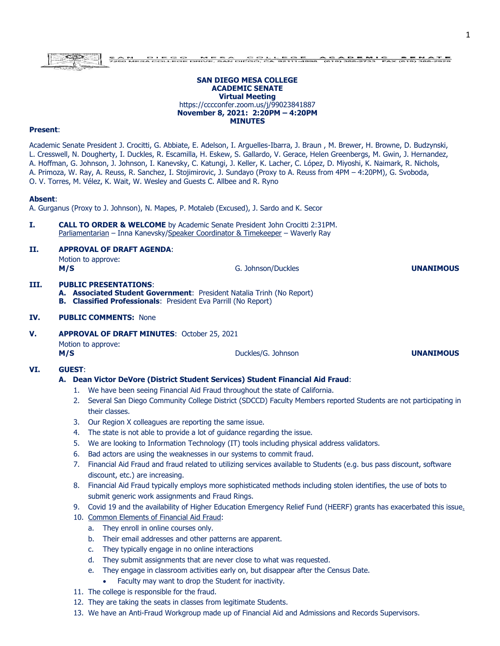#### **SAN DIEGO MESA COLLEGE ACADEMIC SENATE Virtual Meeting** https://cccconfer.zoom.us/j/99023841887 **November 8, 2021: 2:20PM – 4:20PM MINUTES**

## **Present**:

Academic Senate President J. Crocitti, G. Abbiate, E. Adelson, I. Arguelles-Ibarra, J. Braun , M. Brewer, H. Browne, D. Budzynski, L. Cresswell, N. Dougherty, I. Duckles, R. Escamilla, H. Eskew, S. Gallardo, V. Gerace, Helen Greenbergs, M. Gwin, J. Hernandez, A. Hoffman, G. Johnson, J. Johnson, I. Kanevsky, C. Katungi, J. Keller, K. Lacher, C. López, D. Miyoshi, K. Naimark, R. Nichols, A. Primoza, W. Ray, A. Reuss, R. Sanchez, I. Stojimirovic, J. Sundayo (Proxy to A. Reuss from 4PM – 4:20PM), G. Svoboda,

O. V. Torres, M. Vélez, K. Wait, W. Wesley and Guests C. Allbee and R. Ryno

#### **Absent**:

A. Gurganus (Proxy to J. Johnson), N. Mapes, P. Motaleb (Excused), J. Sardo and K. Secor

**I. CALL TO ORDER & WELCOME** by Academic Senate President John Crocitti 2:31PM. Parliamentarian – Inna Kanevsky/Speaker Coordinator & Timekeeper – Waverly Ray

#### **II. APPROVAL OF DRAFT AGENDA**:

Motion to approve: **M/S** G. Johnson/Duckles **UNANIMOUS**

# **III. PUBLIC PRESENTATIONS**:

**A. Associated Student Government**: President Natalia Trinh (No Report) **B. Classified Professionals**: President Eva Parrill (No Report)

#### **IV. PUBLIC COMMENTS:** None

**V. APPROVAL OF DRAFT MINUTES**: October 25, 2021 Motion to approve: **M/S** Duckles/G. Johnson **UNANIMOUS** 

#### **VI. GUEST**:

#### **A. Dean Victor DeVore (District Student Services) Student Financial Aid Fraud**:

- 1. We have been seeing Financial Aid Fraud throughout the state of California.
- 2. Several San Diego Community College District (SDCCD) Faculty Members reported Students are not participating in their classes.
- 3. Our Region X colleagues are reporting the same issue.
- 4. The state is not able to provide a lot of guidance regarding the issue.
- 5. We are looking to Information Technology (IT) tools including physical address validators.
- 6. Bad actors are using the weaknesses in our systems to commit fraud.
- 7. Financial Aid Fraud and fraud related to utilizing services available to Students (e.g. bus pass discount, software discount, etc.) are increasing.
- 8. Financial Aid Fraud typically employs more sophisticated methods including stolen identifies, the use of bots to submit generic work assignments and Fraud Rings.
- 9. Covid 19 and the availability of Higher Education Emergency Relief Fund (HEERF) grants has exacerbated this issue.
- 10. Common Elements of Financial Aid Fraud:
	- a. They enroll in online courses only.
	- b. Their email addresses and other patterns are apparent.
	- c. They typically engage in no online interactions
	- d. They submit assignments that are never close to what was requested.
	- e. They engage in classroom activities early on, but disappear after the Census Date.
		- Faculty may want to drop the Student for inactivity.
- 11. The college is responsible for the fraud.
- 12. They are taking the seats in classes from legitimate Students.
- 13. We have an Anti-Fraud Workgroup made up of Financial Aid and Admissions and Records Supervisors.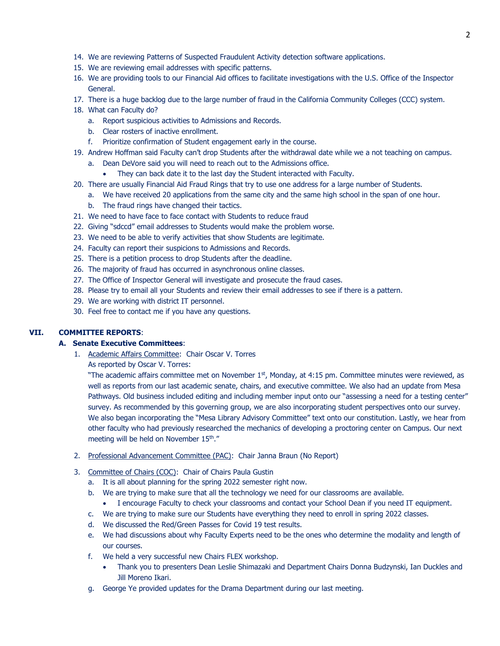- 14. We are reviewing Patterns of Suspected Fraudulent Activity detection software applications.
- 15. We are reviewing email addresses with specific patterns.
- 16. We are providing tools to our Financial Aid offices to facilitate investigations with the U.S. Office of the Inspector General.
- 17. There is a huge backlog due to the large number of fraud in the California Community Colleges (CCC) system.
- 18. What can Faculty do?
	- a. Report suspicious activities to Admissions and Records.
	- b. Clear rosters of inactive enrollment.
	- f. Prioritize confirmation of Student engagement early in the course.
- 19. Andrew Hoffman said Faculty can't drop Students after the withdrawal date while we a not teaching on campus.
	- a. Dean DeVore said you will need to reach out to the Admissions office.
		- They can back date it to the last day the Student interacted with Faculty.
- 20. There are usually Financial Aid Fraud Rings that try to use one address for a large number of Students.
	- a. We have received 20 applications from the same city and the same high school in the span of one hour.
	- b. The fraud rings have changed their tactics.
- 21. We need to have face to face contact with Students to reduce fraud
- 22. Giving "sdccd" email addresses to Students would make the problem worse.
- 23. We need to be able to verify activities that show Students are legitimate.
- 24. Faculty can report their suspicions to Admissions and Records.
- 25. There is a petition process to drop Students after the deadline.
- 26. The majority of fraud has occurred in asynchronous online classes.
- 27. The Office of Inspector General will investigate and prosecute the fraud cases.
- 28. Please try to email all your Students and review their email addresses to see if there is a pattern.
- 29. We are working with district IT personnel.
- 30. Feel free to contact me if you have any questions.

#### **VII. COMMITTEE REPORTS**:

# **A. Senate Executive Committees**:

- 1. Academic Affairs Committee: Chair Oscar V. Torres
	- As reported by Oscar V. Torres:

"The academic affairs committee met on November  $1<sup>st</sup>$ , Monday, at 4:15 pm. Committee minutes were reviewed, as well as reports from our last academic senate, chairs, and executive committee. We also had an update from Mesa Pathways. Old business included editing and including member input onto our "assessing a need for a testing center" survey. As recommended by this governing group, we are also incorporating student perspectives onto our survey. We also began incorporating the "Mesa Library Advisory Committee" text onto our constitution. Lastly, we hear from other faculty who had previously researched the mechanics of developing a proctoring center on Campus. Our next meeting will be held on November 15<sup>th</sup>."

- 2. Professional Advancement Committee (PAC): Chair Janna Braun (No Report)
- 3. Committee of Chairs (COC): Chair of Chairs Paula Gustin
	- a. It is all about planning for the spring 2022 semester right now.
	- b. We are trying to make sure that all the technology we need for our classrooms are available.
		- I encourage Faculty to check your classrooms and contact your School Dean if you need IT equipment.
	- c. We are trying to make sure our Students have everything they need to enroll in spring 2022 classes.
	- d. We discussed the Red/Green Passes for Covid 19 test results.
	- e. We had discussions about why Faculty Experts need to be the ones who determine the modality and length of our courses.
	- f. We held a very successful new Chairs FLEX workshop.
		- Thank you to presenters Dean Leslie Shimazaki and Department Chairs Donna Budzynski, Ian Duckles and Jill Moreno Ikari.
	- g. George Ye provided updates for the Drama Department during our last meeting.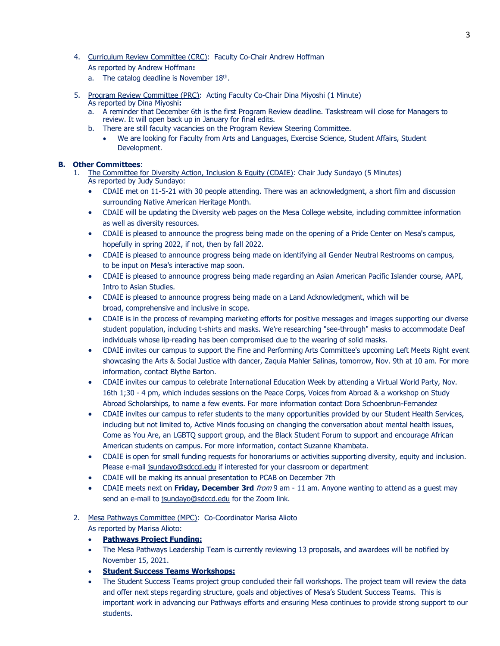- 4. Curriculum Review Committee (CRC): Faculty Co-Chair Andrew Hoffman As reported by Andrew Hoffman**:**
	- a. The catalog deadline is November  $18<sup>th</sup>$ .
- 5. Program Review Committee (PRC): Acting Faculty Co-Chair Dina Miyoshi (1 Minute) As reported by Dina Miyoshi**:**
	- a. A reminder that December 6th is the first Program Review deadline. Taskstream will close for Managers to review. It will open back up in January for final edits.
	- b. There are still faculty vacancies on the Program Review Steering Committee.
		- We are looking for Faculty from Arts and Languages, Exercise Science, Student Affairs, Student Development.

## **B. Other Committees**:

- 1. The Committee for Diversity Action, Inclusion & Equity (CDAIE): Chair Judy Sundayo (5 Minutes) As reported by Judy Sundayo:
	- CDAIE met on 11-5-21 with 30 people attending. There was an acknowledgment, a short film and discussion surrounding Native American Heritage Month.
	- CDAIE will be updating the Diversity web pages on the Mesa College website, including committee information as well as diversity resources.
	- CDAIE is pleased to announce the progress being made on the opening of a Pride Center on Mesa's campus, hopefully in spring 2022, if not, then by fall 2022.
	- CDAIE is pleased to announce progress being made on identifying all Gender Neutral Restrooms on campus, to be input on Mesa's interactive map soon.
	- CDAIE is pleased to announce progress being made regarding an Asian American Pacific Islander course, AAPI, Intro to Asian Studies.
	- CDAIE is pleased to announce progress being made on a Land Acknowledgment, which will be broad, comprehensive and inclusive in scope.
	- CDAIE is in the process of revamping marketing efforts for positive messages and images supporting our diverse student population, including t-shirts and masks. We're researching "see-through" masks to accommodate Deaf individuals whose lip-reading has been compromised due to the wearing of solid masks.
	- CDAIE invites our campus to support the Fine and Performing Arts Committee's upcoming Left Meets Right event showcasing the Arts & Social Justice with dancer, Zaquia Mahler Salinas, tomorrow, Nov. 9th at 10 am. For more information, contact Blythe Barton.
	- CDAIE invites our campus to celebrate International Education Week by attending a Virtual World Party, Nov. 16th 1;30 - 4 pm, which includes sessions on the Peace Corps, Voices from Abroad & a workshop on Study Abroad Scholarships, to name a few events. For more information contact Dora Schoenbrun-Fernandez
	- CDAIE invites our campus to refer students to the many opportunities provided by our Student Health Services, including but not limited to, Active Minds focusing on changing the conversation about mental health issues, Come as You Are, an LGBTQ support group, and the Black Student Forum to support and encourage African American students on campus. For more information, contact Suzanne Khambata.
	- CDAIE is open for small funding requests for honorariums or activities supporting diversity, equity and inclusion. Please e-mail [jsundayo@sdccd.edu](mailto:jsundayo@sdccd.edu) if interested for your classroom or department
	- CDAIE will be making its annual presentation to PCAB on December 7th
	- CDAIE meets next on **Friday, December 3rd** from 9 am 11 am. Anyone wanting to attend as a guest may send an e-mail to [jsundayo@sdccd.edu](mailto:jsundayo@sdccd.edu) for the Zoom link.

# 2. Mesa Pathways Committee (MPC): Co-Coordinator Marisa Alioto As reported by Marisa Alioto:

- **Pathways Project Funding:**
- The Mesa Pathways Leadership Team is currently reviewing 13 proposals, and awardees will be notified by November 15, 2021.
- **Student Success Teams Workshops:**
- The Student Success Teams project group concluded their fall workshops. The project team will review the data and offer next steps regarding structure, goals and objectives of Mesa's Student Success Teams. This is important work in advancing our Pathways efforts and ensuring Mesa continues to provide strong support to our students.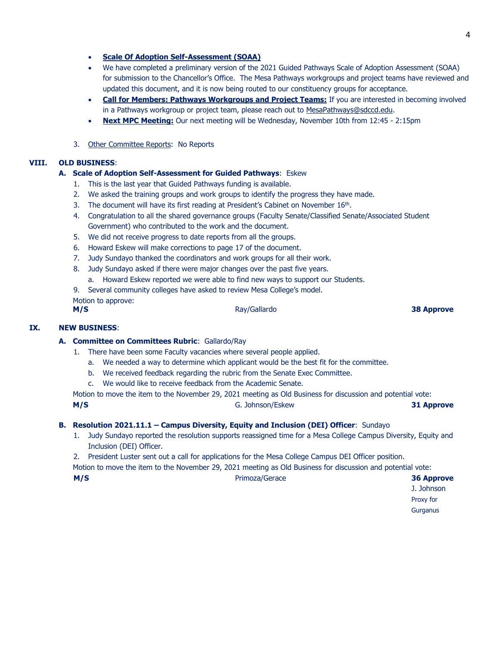- **Scale Of Adoption Self-Assessment (SOAA)**
- We have completed a preliminary version of the 2021 Guided Pathways Scale of Adoption Assessment (SOAA) for submission to the Chancellor's Office. The Mesa Pathways workgroups and project teams have reviewed and updated this document, and it is now being routed to our constituency groups for acceptance.
- **Call for Members: Pathways Workgroups and Project Teams:** If you are interested in becoming involved in a Pathways workgroup or project team, please reach out to [MesaPathways@sdccd.edu.](mailto:MesaPathways@sdccd.edu)
- **Next MPC Meeting:** Our next meeting will be Wednesday, November 10th from 12:45 2:15pm
- 3. Other Committee Reports: No Reports

# **VIII. OLD BUSINESS**:

## **A. Scale of Adoption Self-Assessment for Guided Pathways**: Eskew

- 1. This is the last year that Guided Pathways funding is available.
- 2. We asked the training groups and work groups to identify the progress they have made.
- 3. The document will have its first reading at President's Cabinet on November  $16<sup>th</sup>$ .
- 4. Congratulation to all the shared governance groups (Faculty Senate/Classified Senate/Associated Student Government) who contributed to the work and the document.
- 5. We did not receive progress to date reports from all the groups.
- 6. Howard Eskew will make corrections to page 17 of the document.
- 7. Judy Sundayo thanked the coordinators and work groups for all their work.
- 8. Judy Sundayo asked if there were major changes over the past five years. a. Howard Eskew reported we were able to find new ways to support our Students.
- 9. Several community colleges have asked to review Mesa College's model.

Motion to approve: **M/S** Ray/Gallardo **38 Approve**

# **IX. NEW BUSINESS**:

# **A. Committee on Committees Rubric**: Gallardo/Ray

- 1. There have been some Faculty vacancies where several people applied.
	- a. We needed a way to determine which applicant would be the best fit for the committee.
	- b. We received feedback regarding the rubric from the Senate Exec Committee.
	- c. We would like to receive feedback from the Academic Senate.

Motion to move the item to the November 29, 2021 meeting as Old Business for discussion and potential vote: **M/S** G. Johnson/Eskew **31 Approve**

#### **B. Resolution 2021.11.1 – Campus Diversity, Equity and Inclusion (DEI) Officer**: Sundayo

1. Judy Sundayo reported the resolution supports reassigned time for a Mesa College Campus Diversity, Equity and Inclusion (DEI) Officer.

2. President Luster sent out a call for applications for the Mesa College Campus DEI Officer position.

Motion to move the item to the November 29, 2021 meeting as Old Business for discussion and potential vote:

**M/S** Primoza/Gerace **36 Approve**

J. Johnson Proxy for **Gurganus**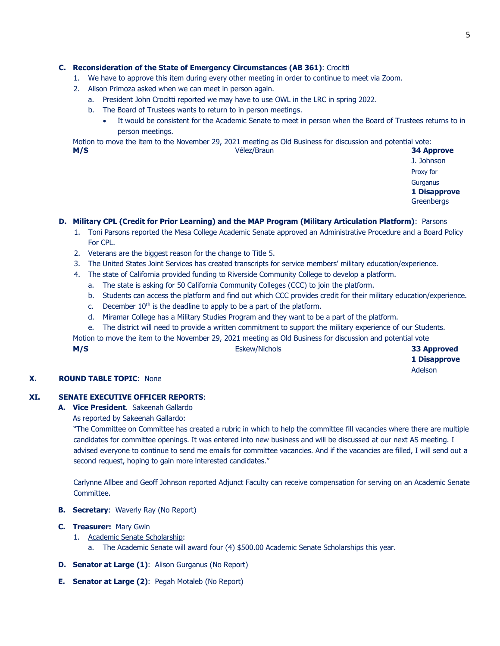# **C. Reconsideration of the State of Emergency Circumstances (AB 361)**: Crocitti

- 1. We have to approve this item during every other meeting in order to continue to meet via Zoom.
- 2. Alison Primoza asked when we can meet in person again.
	- a. President John Crocitti reported we may have to use OWL in the LRC in spring 2022.
	- b. The Board of Trustees wants to return to in person meetings.
		- It would be consistent for the Academic Senate to meet in person when the Board of Trustees returns to in person meetings.

Motion to move the item to the November 29, 2021 meeting as Old Business for discussion and potential vote:

**M/S** Vélez/Braun **34 Approve** J. Johnson Proxy for **Gurganus 1 Disapprove Greenbergs** 

## **D. Military CPL (Credit for Prior Learning) and the MAP Program (Military Articulation Platform)**: Parsons

- 1. Toni Parsons reported the Mesa College Academic Senate approved an Administrative Procedure and a Board Policy For CPL.
- 2. Veterans are the biggest reason for the change to Title 5.
- 3. The United States Joint Services has created transcripts for service members' military education/experience.
- 4. The state of California provided funding to Riverside Community College to develop a platform.
	- a. The state is asking for 50 California Community Colleges (CCC) to join the platform.
	- b. Students can access the platform and find out which CCC provides credit for their military education/experience.
	- c. December  $10<sup>th</sup>$  is the deadline to apply to be a part of the platform.
	- d. Miramar College has a Military Studies Program and they want to be a part of the platform.
	- e. The district will need to provide a written commitment to support the military experience of our Students.

Motion to move the item to the November 29, 2021 meeting as Old Business for discussion and potential vote

**M/S** Eskew/Nichols **33 Approved**

**1 Disapprove** Adelson

#### **X. ROUND TABLE TOPIC**: None

# **XI. SENATE EXECUTIVE OFFICER REPORTS**:

- **A. Vice President**. Sakeenah Gallardo
	- As reported by Sakeenah Gallardo:

"The Committee on Committee has created a rubric in which to help the committee fill vacancies where there are multiple candidates for committee openings. It was entered into new business and will be discussed at our next AS meeting. I advised everyone to continue to send me emails for committee vacancies. And if the vacancies are filled, I will send out a second request, hoping to gain more interested candidates."

Carlynne Allbee and Geoff Johnson reported Adjunct Faculty can receive compensation for serving on an Academic Senate Committee.

- **B. Secretary**: Waverly Ray (No Report)
- **C. Treasurer:** Mary Gwin
	- 1. Academic Senate Scholarship:
		- a. The Academic Senate will award four (4) \$500.00 Academic Senate Scholarships this year.
- **D. Senator at Large (1)**: Alison Gurganus (No Report)
- **E. Senator at Large (2)**: Pegah Motaleb (No Report)